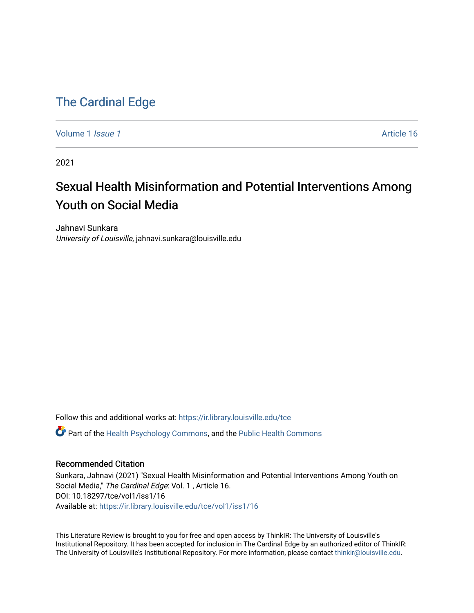# [The Cardinal Edge](https://ir.library.louisville.edu/tce)

[Volume 1](https://ir.library.louisville.edu/tce/vol1) *Issue 1* Article 16

2021

# Sexual Health Misinformation and Potential Interventions Among Youth on Social Media

Jahnavi Sunkara University of Louisville, jahnavi.sunkara@louisville.edu

Follow this and additional works at: [https://ir.library.louisville.edu/tce](https://ir.library.louisville.edu/tce?utm_source=ir.library.louisville.edu%2Ftce%2Fvol1%2Fiss1%2F16&utm_medium=PDF&utm_campaign=PDFCoverPages) Part of the [Health Psychology Commons](http://network.bepress.com/hgg/discipline/411?utm_source=ir.library.louisville.edu%2Ftce%2Fvol1%2Fiss1%2F16&utm_medium=PDF&utm_campaign=PDFCoverPages), and the [Public Health Commons](http://network.bepress.com/hgg/discipline/738?utm_source=ir.library.louisville.edu%2Ftce%2Fvol1%2Fiss1%2F16&utm_medium=PDF&utm_campaign=PDFCoverPages)

#### Recommended Citation

Sunkara, Jahnavi (2021) "Sexual Health Misinformation and Potential Interventions Among Youth on Social Media," The Cardinal Edge: Vol. 1 , Article 16. DOI: 10.18297/tce/vol1/iss1/16 Available at: [https://ir.library.louisville.edu/tce/vol1/iss1/16](https://ir.library.louisville.edu/tce/vol1/iss1/16?utm_source=ir.library.louisville.edu%2Ftce%2Fvol1%2Fiss1%2F16&utm_medium=PDF&utm_campaign=PDFCoverPages) 

This Literature Review is brought to you for free and open access by ThinkIR: The University of Louisville's Institutional Repository. It has been accepted for inclusion in The Cardinal Edge by an authorized editor of ThinkIR: The University of Louisville's Institutional Repository. For more information, please contact [thinkir@louisville.edu.](mailto:thinkir@louisville.edu)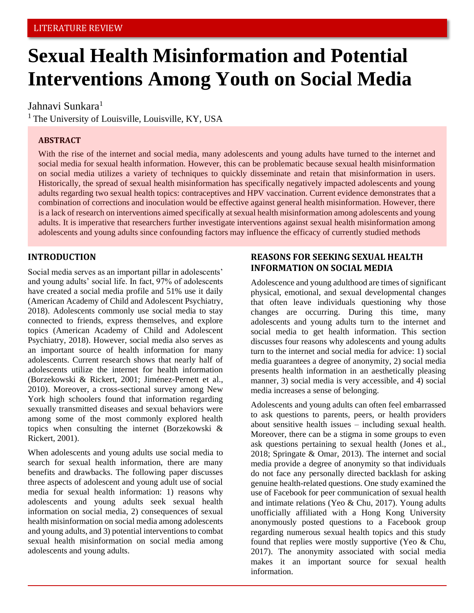# **Sexual Health Misinformation and Potential Interventions Among Youth on Social Media**

# Jahnavi Sunkara<sup>1</sup>

<sup>1</sup> The University of Louisville, Louisville, KY, USA

## **ABSTRACT**

With the rise of the internet and social media, many adolescents and young adults have turned to the internet and social media for sexual health information. However, this can be problematic because sexual health misinformation on social media utilizes a variety of techniques to quickly disseminate and retain that misinformation in users. Historically, the spread of sexual health misinformation has specifically negatively impacted adolescents and young adults regarding two sexual health topics: contraceptives and HPV vaccination. Current evidence demonstrates that a combination of corrections and inoculation would be effective against general health misinformation. However, there is a lack of research on interventions aimed specifically at sexual health misinformation among adolescents and young adults. It is imperative that researchers further investigate interventions against sexual health misinformation among adolescents and young adults since confounding factors may influence the efficacy of currently studied methods

#### **INTRODUCTION**

Social media serves as an important pillar in adolescents' and young adults' social life. In fact, 97% of adolescents have created a social media profile and 51% use it daily (American Academy of Child and Adolescent Psychiatry, 2018). Adolescents commonly use social media to stay connected to friends, express themselves, and explore topics (American Academy of Child and Adolescent Psychiatry, 2018). However, social media also serves as an important source of health information for many adolescents. Current research shows that nearly half of adolescents utilize the internet for health information (Borzekowski & Rickert, 2001; Jiménez-Pernett et al., 2010). Moreover, a cross-sectional survey among New York high schoolers found that information regarding sexually transmitted diseases and sexual behaviors were among some of the most commonly explored health topics when consulting the internet (Borzekowski & Rickert, 2001).

When adolescents and young adults use social media to search for sexual health information, there are many benefits and drawbacks. The following paper discusses three aspects of adolescent and young adult use of social media for sexual health information: 1) reasons why adolescents and young adults seek sexual health information on social media, 2) consequences of sexual health misinformation on social media among adolescents and young adults, and 3) potential interventions to combat sexual health misinformation on social media among adolescents and young adults.

## **REASONS FOR SEEKING SEXUAL HEALTH INFORMATION ON SOCIAL MEDIA**

Adolescence and young adulthood are times of significant physical, emotional, and sexual developmental changes that often leave individuals questioning why those changes are occurring. During this time, many adolescents and young adults turn to the internet and social media to get health information. This section discusses four reasons why adolescents and young adults turn to the internet and social media for advice: 1) social media guarantees a degree of anonymity, 2) social media presents health information in an aesthetically pleasing manner, 3) social media is very accessible, and 4) social media increases a sense of belonging.

Adolescents and young adults can often feel embarrassed to ask questions to parents, peers, or health providers about sensitive health issues – including sexual health. Moreover, there can be a stigma in some groups to even ask questions pertaining to sexual health (Jones et al., 2018; Springate & Omar, 2013). The internet and social media provide a degree of anonymity so that individuals do not face any personally directed backlash for asking genuine health-related questions. One study examined the use of Facebook for peer communication of sexual health and intimate relations (Yeo & Chu, 2017). Young adults unofficially affiliated with a Hong Kong University anonymously posted questions to a Facebook group regarding numerous sexual health topics and this study found that replies were mostly supportive (Yeo & Chu, 2017). The anonymity associated with social media makes it an important source for sexual health information.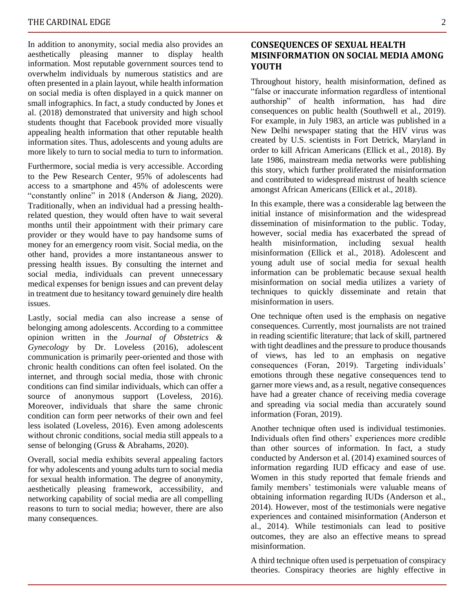In addition to anonymity, social media also provides an aesthetically pleasing manner to display health information. Most reputable government sources tend to overwhelm individuals by numerous statistics and are often presented in a plain layout, while health information on social media is often displayed in a quick manner on small infographics. In fact, a study conducted by Jones et al. (2018) demonstrated that university and high school students thought that Facebook provided more visually appealing health information that other reputable health information sites. Thus, adolescents and young adults are more likely to turn to social media to turn to information.

Furthermore, social media is very accessible. According to the Pew Research Center, 95% of adolescents had access to a smartphone and 45% of adolescents were "constantly online" in 2018 (Anderson & Jiang, 2020). Traditionally, when an individual had a pressing healthrelated question, they would often have to wait several months until their appointment with their primary care provider or they would have to pay handsome sums of money for an emergency room visit. Social media, on the other hand, provides a more instantaneous answer to pressing health issues. By consulting the internet and social media, individuals can prevent unnecessary medical expenses for benign issues and can prevent delay in treatment due to hesitancy toward genuinely dire health issues.

Lastly, social media can also increase a sense of belonging among adolescents. According to a committee opinion written in the *Journal of Obstetrics & Gynecology* by Dr. Loveless (2016), adolescent communication is primarily peer-oriented and those with chronic health conditions can often feel isolated. On the internet, and through social media, those with chronic conditions can find similar individuals, which can offer a source of anonymous support (Loveless, 2016). Moreover, individuals that share the same chronic condition can form peer networks of their own and feel less isolated (Loveless, 2016). Even among adolescents without chronic conditions, social media still appeals to a sense of belonging (Gruss & Abrahams, 2020).

Overall, social media exhibits several appealing factors for why adolescents and young adults turn to social media for sexual health information. The degree of anonymity, aesthetically pleasing framework, accessibility, and networking capability of social media are all compelling reasons to turn to social media; however, there are also many consequences.

#### **CONSEQUENCES OF SEXUAL HEALTH MISINFORMATION ON SOCIAL MEDIA AMONG YOUTH**

Throughout history, health misinformation, defined as "false or inaccurate information regardless of intentional authorship" of health information, has had dire consequences on public health (Southwell et al., 2019). For example, in July 1983, an article was published in a New Delhi newspaper stating that the HIV virus was created by U.S. scientists in Fort Detrick, Maryland in order to kill African Americans (Ellick et al., 2018). By late 1986, mainstream media networks were publishing this story, which further proliferated the misinformation and contributed to widespread mistrust of health science amongst African Americans (Ellick et al., 2018).

In this example, there was a considerable lag between the initial instance of misinformation and the widespread dissemination of misinformation to the public. Today, however, social media has exacerbated the spread of health misinformation, including sexual health misinformation (Ellick et al., 2018). Adolescent and young adult use of social media for sexual health information can be problematic because sexual health misinformation on social media utilizes a variety of techniques to quickly disseminate and retain that misinformation in users.

One technique often used is the emphasis on negative consequences. Currently, most journalists are not trained in reading scientific literature; that lack of skill, partnered with tight deadlines and the pressure to produce thousands of views, has led to an emphasis on negative consequences (Foran, 2019). Targeting individuals' emotions through these negative consequences tend to garner more views and, as a result, negative consequences have had a greater chance of receiving media coverage and spreading via social media than accurately sound information (Foran, 2019).

Another technique often used is individual testimonies. Individuals often find others' experiences more credible than other sources of information. In fact, a study conducted by Anderson et al. (2014) examined sources of information regarding IUD efficacy and ease of use. Women in this study reported that female friends and family members' testimonials were valuable means of obtaining information regarding IUDs (Anderson et al., 2014). However, most of the testimonials were negative experiences and contained misinformation (Anderson et al., 2014). While testimonials can lead to positive outcomes, they are also an effective means to spread misinformation.

A third technique often used is perpetuation of conspiracy theories. Conspiracy theories are highly effective in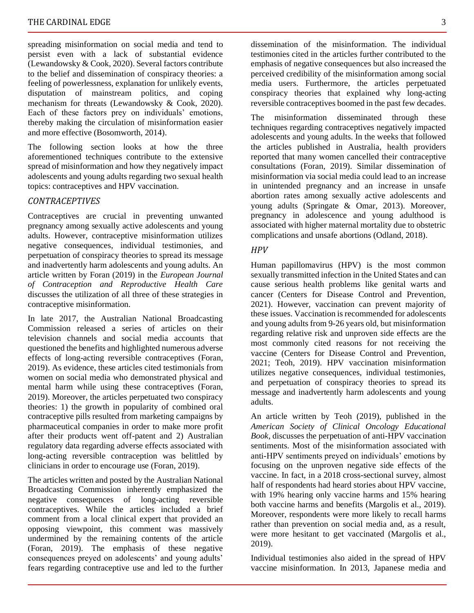spreading misinformation on social media and tend to persist even with a lack of substantial evidence (Lewandowsky & Cook, 2020). Several factors contribute to the belief and dissemination of conspiracy theories: a feeling of powerlessness, explanation for unlikely events, disputation of mainstream politics, and coping mechanism for threats (Lewandowsky & Cook, 2020). Each of these factors prey on individuals' emotions, thereby making the circulation of misinformation easier and more effective (Bosomworth, 2014).

The following section looks at how the three aforementioned techniques contribute to the extensive spread of misinformation and how they negatively impact adolescents and young adults regarding two sexual health topics: contraceptives and HPV vaccination.

### *CONTRACEPTIVES*

Contraceptives are crucial in preventing unwanted pregnancy among sexually active adolescents and young adults. However, contraceptive misinformation utilizes negative consequences, individual testimonies, and perpetuation of conspiracy theories to spread its message and inadvertently harm adolescents and young adults. An article written by Foran (2019) in the *European Journal of Contraception and Reproductive Health Care* discusses the utilization of all three of these strategies in contraceptive misinformation.

In late 2017, the Australian National Broadcasting Commission released a series of articles on their television channels and social media accounts that questioned the benefits and highlighted numerous adverse effects of long-acting reversible contraceptives (Foran, 2019). As evidence, these articles cited testimonials from women on social media who demonstrated physical and mental harm while using these contraceptives (Foran, 2019). Moreover, the articles perpetuated two conspiracy theories: 1) the growth in popularity of combined oral contraceptive pills resulted from marketing campaigns by pharmaceutical companies in order to make more profit after their products went off-patent and 2) Australian regulatory data regarding adverse effects associated with long-acting reversible contraception was belittled by clinicians in order to encourage use (Foran, 2019).

The articles written and posted by the Australian National Broadcasting Commission inherently emphasized the negative consequences of long-acting reversible contraceptives. While the articles included a brief comment from a local clinical expert that provided an opposing viewpoint, this comment was massively undermined by the remaining contents of the article (Foran, 2019). The emphasis of these negative consequences preyed on adolescents' and young adults' fears regarding contraceptive use and led to the further

dissemination of the misinformation. The individual testimonies cited in the articles further contributed to the emphasis of negative consequences but also increased the perceived credibility of the misinformation among social media users. Furthermore, the articles perpetuated conspiracy theories that explained why long-acting reversible contraceptives boomed in the past few decades.

The misinformation disseminated through these techniques regarding contraceptives negatively impacted adolescents and young adults. In the weeks that followed the articles published in Australia, health providers reported that many women cancelled their contraceptive consultations (Foran, 2019). Similar dissemination of misinformation via social media could lead to an increase in unintended pregnancy and an increase in unsafe abortion rates among sexually active adolescents and young adults (Springate & Omar, 2013). Moreover, pregnancy in adolescence and young adulthood is associated with higher maternal mortality due to obstetric complications and unsafe abortions (Odland, 2018).

#### *HPV*

Human papillomavirus (HPV) is the most common sexually transmitted infection in the United States and can cause serious health problems like genital warts and cancer (Centers for Disease Control and Prevention, 2021). However, vaccination can prevent majority of these issues. Vaccination is recommended for adolescents and young adults from 9-26 years old, but misinformation regarding relative risk and unproven side effects are the most commonly cited reasons for not receiving the vaccine (Centers for Disease Control and Prevention, 2021; Teoh, 2019). HPV vaccination misinformation utilizes negative consequences, individual testimonies, and perpetuation of conspiracy theories to spread its message and inadvertently harm adolescents and young adults.

An article written by Teoh (2019), published in the *American Society of Clinical Oncology Educational Book*, discusses the perpetuation of anti-HPV vaccination sentiments. Most of the misinformation associated with anti-HPV sentiments preyed on individuals' emotions by focusing on the unproven negative side effects of the vaccine. In fact, in a 2018 cross-sectional survey, almost half of respondents had heard stories about HPV vaccine, with 19% hearing only vaccine harms and 15% hearing both vaccine harms and benefits (Margolis et al., 2019). Moreover, respondents were more likely to recall harms rather than prevention on social media and, as a result, were more hesitant to get vaccinated (Margolis et al., 2019).

Individual testimonies also aided in the spread of HPV vaccine misinformation. In 2013, Japanese media and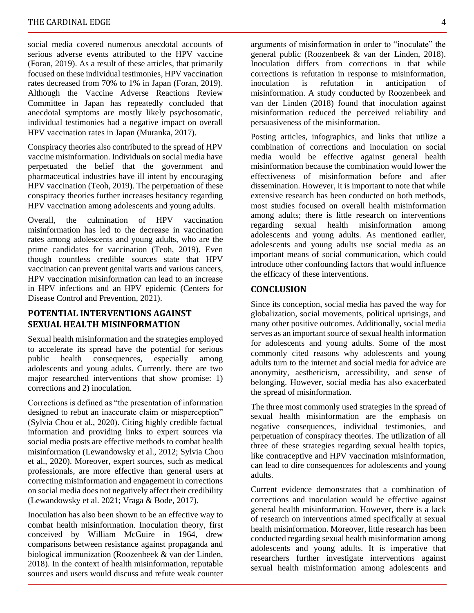social media covered numerous anecdotal accounts of serious adverse events attributed to the HPV vaccine (Foran, 2019). As a result of these articles, that primarily focused on these individual testimonies, HPV vaccination rates decreased from 70% to 1% in Japan (Foran, 2019). Although the Vaccine Adverse Reactions Review Committee in Japan has repeatedly concluded that anecdotal symptoms are mostly likely psychosomatic, individual testimonies had a negative impact on overall HPV vaccination rates in Japan (Muranka, 2017).

Conspiracy theories also contributed to the spread of HPV vaccine misinformation. Individuals on social media have perpetuated the belief that the government and pharmaceutical industries have ill intent by encouraging HPV vaccination (Teoh, 2019). The perpetuation of these conspiracy theories further increases hesitancy regarding HPV vaccination among adolescents and young adults.

Overall, the culmination of HPV vaccination misinformation has led to the decrease in vaccination rates among adolescents and young adults, who are the prime candidates for vaccination (Teoh, 2019). Even though countless credible sources state that HPV vaccination can prevent genital warts and various cancers, HPV vaccination misinformation can lead to an increase in HPV infections and an HPV epidemic (Centers for Disease Control and Prevention, 2021).

#### **POTENTIAL INTERVENTIONS AGAINST SEXUAL HEALTH MISINFORMATION**

Sexual health misinformation and the strategies employed to accelerate its spread have the potential for serious<br>public health consequences, especially among public health consequences, especially among adolescents and young adults. Currently, there are two major researched interventions that show promise: 1) corrections and 2) inoculation.

Corrections is defined as "the presentation of information designed to rebut an inaccurate claim or misperception" (Sylvia Chou et al., 2020). Citing highly credible factual information and providing links to expert sources via social media posts are effective methods to combat health misinformation (Lewandowsky et al., 2012; Sylvia Chou et al., 2020). Moreover, expert sources, such as medical professionals, are more effective than general users at correcting misinformation and engagement in corrections on social media does not negatively affect their credibility (Lewandowsky et al. 2021; Vraga & Bode, 2017).

Inoculation has also been shown to be an effective way to combat health misinformation. Inoculation theory, first conceived by William McGuire in 1964, drew comparisons between resistance against propaganda and biological immunization (Roozenbeek & van der Linden, 2018). In the context of health misinformation, reputable sources and users would discuss and refute weak counter

arguments of misinformation in order to "inoculate" the general public (Roozenbeek & van der Linden, 2018). Inoculation differs from corrections in that while corrections is refutation in response to misinformation, inoculation is refutation in anticipation of misinformation. A study conducted by Roozenbeek and van der Linden (2018) found that inoculation against misinformation reduced the perceived reliability and persuasiveness of the misinformation.

Posting articles, infographics, and links that utilize a combination of corrections and inoculation on social media would be effective against general health misinformation because the combination would lower the effectiveness of misinformation before and after dissemination. However, it is important to note that while extensive research has been conducted on both methods, most studies focused on overall health misinformation among adults; there is little research on interventions regarding sexual health misinformation among adolescents and young adults. As mentioned earlier, adolescents and young adults use social media as an important means of social communication, which could introduce other confounding factors that would influence the efficacy of these interventions.

#### **CONCLUSION**

Since its conception, social media has paved the way for globalization, social movements, political uprisings, and many other positive outcomes. Additionally, social media serves as an important source of sexual health information for adolescents and young adults. Some of the most commonly cited reasons why adolescents and young adults turn to the internet and social media for advice are anonymity, aestheticism, accessibility, and sense of belonging. However, social media has also exacerbated the spread of misinformation.

The three most commonly used strategies in the spread of sexual health misinformation are the emphasis on negative consequences, individual testimonies, and perpetuation of conspiracy theories. The utilization of all three of these strategies regarding sexual health topics, like contraceptive and HPV vaccination misinformation, can lead to dire consequences for adolescents and young adults.

Current evidence demonstrates that a combination of corrections and inoculation would be effective against general health misinformation. However, there is a lack of research on interventions aimed specifically at sexual health misinformation. Moreover, little research has been conducted regarding sexual health misinformation among adolescents and young adults. It is imperative that researchers further investigate interventions against sexual health misinformation among adolescents and